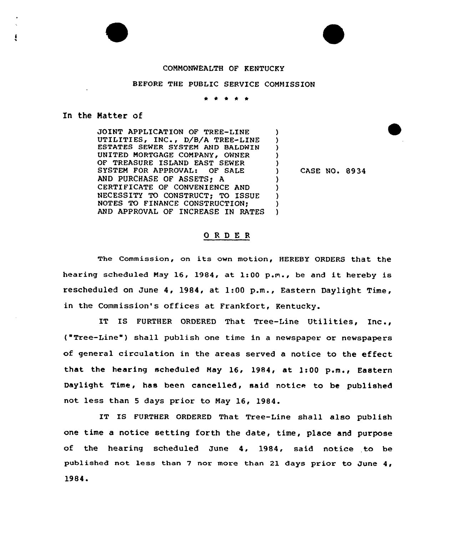## COMMONWEALTH OF KENTUCKY

## BEFORE THE PUBLIC SERVICE COMMISSION

\* \* \* \* \*

## In the Natter of

JOINT APPLICATION OF TREE-LINE UTILITIES, INC., D/B/A TREE-LINE ESTATES SEWER SYSTEM AND BALDWIN UNITED MORTGAGE COMPANY, OWNER OF TREASURE ISLAND EAST SEWER SYSTEM FOR APPROVAL: OF SALE AND PURCHASE OF ASSETS; A CERTIFICATE OF CONVENIENCE AND NECESSITY TO CONSTRUCT; TO ISSUE NOTES TO FINANCE CONSTRUCTION; AND APPROVAL OF INCREASE IN RATES ) ) ) ) ) ) ) ) ) )

) CASE NO. 8934

## ORDER

The Commission, on its own motion, HEREBY ORDERS that the hearing scheduled May 16, 1984, at 1:00 p.m., be and it hereby is rescheduled on June 4, 1984, at 1:00 p.m., Eastern Daylight Time, in the Commission's offices at Frankfort, Kentucky.

IT IS FURTHER ORDERED That Tree-Line Utilities, Inc., ("Tree-Line") shall publish one time in a newspaper or newspapers of general circulation in the areas served a notice to the effect that the hearing scheduled May 16, 1984, at 1:00 p.m., Eastern Daylight Time, has been cancelled, said notice to be published not less than <sup>5</sup> days prior to May 16, 1984.

IT IS FURTHER ORDERED That Tree-Line shall also publish one time a notice setting forth the date, time, place and purpose of the hearing scheduled June 4, 1984, said notice to be published not less than <sup>7</sup> nor more than 21 days prior to June 4, 1984